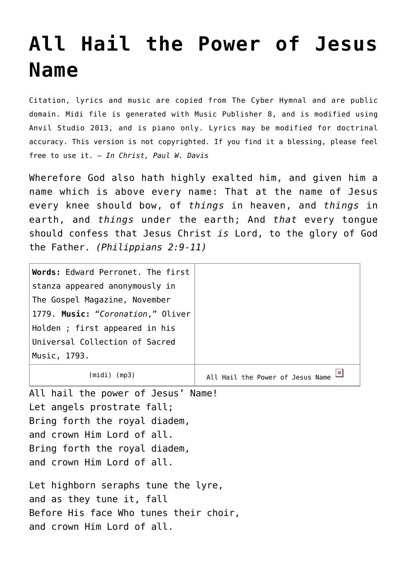## **[All Hail the Power of Jesus](http://reproachofmen.org/hymns-and-music/all-hail-the-power/) [Name](http://reproachofmen.org/hymns-and-music/all-hail-the-power/)**

Citation, lyrics and music are copied from [The Cyber Hymnal](http://www.hymntime.com/tch/) and are public domain. Midi file is generated with [Music Publisher 8](http://www.braeburn.co.uk/mp.htm), and is modified using [Anvil Studio 2013](http://www.anvilstudio.com/), and is piano only. Lyrics may be modified for doctrinal accuracy. This version is not copyrighted. If you find it a blessing, please feel free to use it. — *In Christ, Paul W. Davis*

Wherefore God also hath highly exalted him, and given him a name which is above every name: That at the name of Jesus every knee should bow, of *things* in heaven, and *things* in earth, and *things* under the earth; And *that* every tongue should confess that Jesus Christ *is* Lord, to the glory of God the Father. *(Philippians 2:9-11)*

| Words: Edward Perronet. The first |                              |
|-----------------------------------|------------------------------|
| stanza appeared anonymously in    |                              |
| The Gospel Magazine, November     |                              |
| 1779. Music: "Coronation," Oliver |                              |
| Holden ; first appeared in his    |                              |
| Universal Collection of Sacred    |                              |
| Music, 1793.                      |                              |
| (mp3)<br>(mıdı                    | Hail the Power of Jesus Name |

All hail the power of Jesus' Name! Let angels prostrate fall; Bring forth the royal diadem, and crown Him Lord of all. Bring forth the royal diadem, and crown Him Lord of all.

Let highborn seraphs tune the lyre, and as they tune it, fall Before His face Who tunes their choir, and crown Him Lord of all.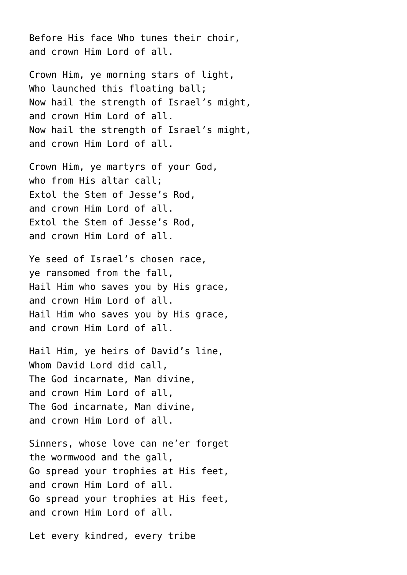Before His face Who tunes their choir, and crown Him Lord of all.

Crown Him, ye morning stars of light, Who launched this floating ball: Now hail the strength of Israel's might, and crown Him Lord of all. Now hail the strength of Israel's might, and crown Him Lord of all.

Crown Him, ye martyrs of your God, who from His altar call: Extol the Stem of Jesse's Rod, and crown Him Lord of all. Extol the Stem of Jesse's Rod, and crown Him Lord of all.

Ye seed of Israel's chosen race, ye ransomed from the fall, Hail Him who saves you by His grace, and crown Him Lord of all. Hail Him who saves you by His grace, and crown Him Lord of all.

Hail Him, ye heirs of David's line, Whom David Lord did call, The God incarnate, Man divine, and crown Him Lord of all, The God incarnate, Man divine, and crown Him Lord of all.

Sinners, whose love can ne'er forget the wormwood and the gall, Go spread your trophies at His feet, and crown Him Lord of all. Go spread your trophies at His feet, and crown Him Lord of all.

Let every kindred, every tribe